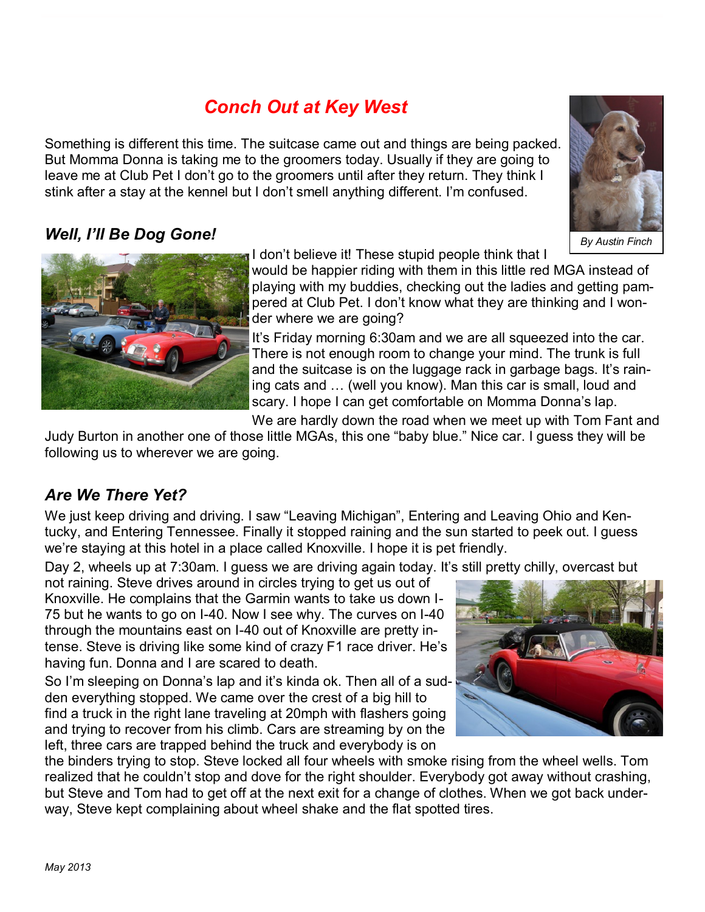# *Conch Out at Key West*

Something is different this time. The suitcase came out and things are being packed. But Momma Donna is taking me to the groomers today. Usually if they are going to leave me at Club Pet I don't go to the groomers until after they return. They think I stink after a stay at the kennel but I don't smell anything different. I'm confused.

### *Well, I'll Be Dog Gone!*

I don't believe it! These stupid people think that I

would be happier riding with them in this little red MGA instead of playing with my buddies, checking out the ladies and getting pampered at Club Pet. I don't know what they are thinking and I wonder where we are going?

It's Friday morning 6:30am and we are all squeezed into the car. There is not enough room to change your mind. The trunk is full and the suitcase is on the luggage rack in garbage bags. It's raining cats and … (well you know). Man this car is small, loud and scary. I hope I can get comfortable on Momma Donna's lap.

We are hardly down the road when we meet up with Tom Fant and

Judy Burton in another one of those little MGAs, this one "baby blue." Nice car. I guess they will be following us to wherever we are going.

## *Are We There Yet?*

We just keep driving and driving. I saw "Leaving Michigan", Entering and Leaving Ohio and Kentucky, and Entering Tennessee. Finally it stopped raining and the sun started to peek out. I guess we're staying at this hotel in a place called Knoxville. I hope it is pet friendly.

Day 2, wheels up at 7:30am. I guess we are driving again today. It's still pretty chilly, overcast but

not raining. Steve drives around in circles trying to get us out of Knoxville. He complains that the Garmin wants to take us down I-75 but he wants to go on I-40. Now I see why. The curves on I-40 through the mountains east on I-40 out of Knoxville are pretty intense. Steve is driving like some kind of crazy F1 race driver. He's having fun. Donna and I are scared to death.

So I'm sleeping on Donna's lap and it's kinda ok. Then all of a sudden everything stopped. We came over the crest of a big hill to find a truck in the right lane traveling at 20mph with flashers going and trying to recover from his climb. Cars are streaming by on the left, three cars are trapped behind the truck and everybody is on

the binders trying to stop. Steve locked all four wheels with smoke rising from the wheel wells. Tom realized that he couldn't stop and dove for the right shoulder. Everybody got away without crashing, but Steve and Tom had to get off at the next exit for a change of clothes. When we got back underway, Steve kept complaining about wheel shake and the flat spotted tires.





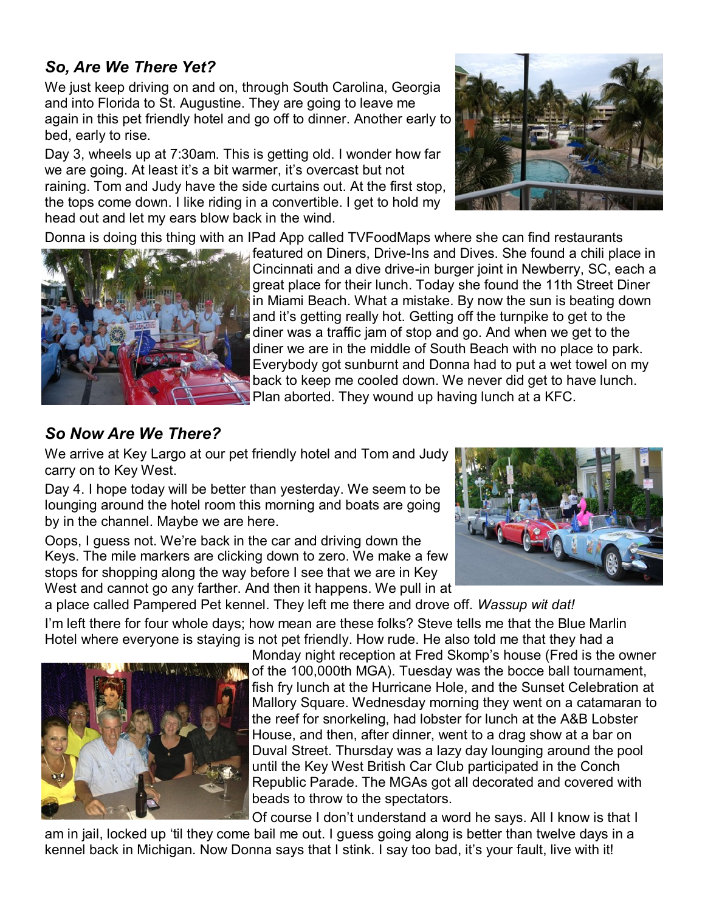#### *So, Are We There Yet?*

We just keep driving on and on, through South Carolina, Georgia and into Florida to St. Augustine. They are going to leave me again in this pet friendly hotel and go off to dinner. Another early to bed, early to rise.

Day 3, wheels up at 7:30am. This is getting old. I wonder how far we are going. At least it's a bit warmer, it's overcast but not raining. Tom and Judy have the side curtains out. At the first stop, the tops come down. I like riding in a convertible. I get to hold my head out and let my ears blow back in the wind.



Donna is doing this thing with an IPad App called TVFoodMaps where she can find restaurants



featured on Diners, Drive-Ins and Dives. She found a chili place in Cincinnati and a dive drive-in burger joint in Newberry, SC, each a great place for their lunch. Today she found the 11th Street Diner in Miami Beach. What a mistake. By now the sun is beating down and it's getting really hot. Getting off the turnpike to get to the diner was a traffic jam of stop and go. And when we get to the diner we are in the middle of South Beach with no place to park. Everybody got sunburnt and Donna had to put a wet towel on my back to keep me cooled down. We never did get to have lunch. Plan aborted. They wound up having lunch at a KFC.

#### *So Now Are We There?*

We arrive at Key Largo at our pet friendly hotel and Tom and Judy carry on to Key West.

Day 4. I hope today will be better than yesterday. We seem to be lounging around the hotel room this morning and boats are going by in the channel. Maybe we are here.

Oops, I guess not. We're back in the car and driving down the Keys. The mile markers are clicking down to zero. We make a few stops for shopping along the way before I see that we are in Key West and cannot go any farther. And then it happens. We pull in at



a place called Pampered Pet kennel. They left me there and drove off. *Wassup wit dat!*  I'm left there for four whole days; how mean are these folks? Steve tells me that the Blue Marlin Hotel where everyone is staying is not pet friendly. How rude. He also told me that they had a



Monday night reception at Fred Skomp's house (Fred is the owner of the 100,000th MGA). Tuesday was the bocce ball tournament, fish fry lunch at the Hurricane Hole, and the Sunset Celebration at Mallory Square. Wednesday morning they went on a catamaran to the reef for snorkeling, had lobster for lunch at the A&B Lobster House, and then, after dinner, went to a drag show at a bar on Duval Street. Thursday was a lazy day lounging around the pool until the Key West British Car Club participated in the Conch Republic Parade. The MGAs got all decorated and covered with beads to throw to the spectators.

Of course I don't understand a word he says. All I know is that I

am in jail, locked up 'til they come bail me out. I guess going along is better than twelve days in a kennel back in Michigan. Now Donna says that I stink. I say too bad, it's your fault, live with it!